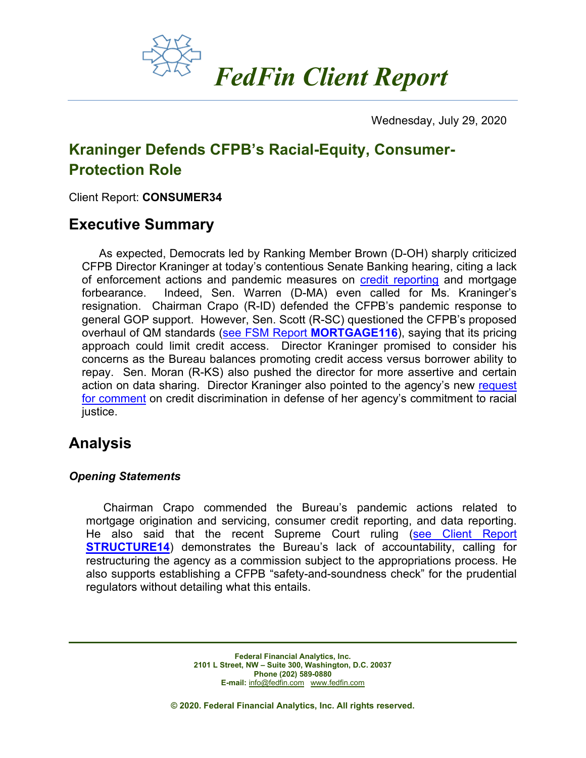

Wednesday, July 29, 2020

# **Kraninger Defends CFPB's Racial-Equity, Consumer-Protection Role**

Client Report: **CONSUMER34**

## **Executive Summary**

As expected, Democrats led by Ranking Member Brown (D-OH) sharply criticized CFPB Director Kraninger at today's contentious Senate Banking hearing, citing a lack of enforcement actions and pandemic measures on [credit reporting](https://fedfin.com/wp-content/uploads/2020/04/daily040120.pdf) and mortgage forbearance. Indeed, Sen. Warren (D-MA) even called for Ms. Kraninger's resignation. Chairman Crapo (R-ID) defended the CFPB's pandemic response to general GOP support. However, Sen. Scott (R-SC) questioned the CFPB's proposed overhaul of QM standards [\(see FSM Report](https://www.fedfin.com/dmdocuments/mortgage116.pdf) **MORTGAGE116**), saying that its pricing approach could limit credit access. Director Kraninger promised to consider his concerns as the Bureau balances promoting credit access versus borrower ability to repay. Sen. Moran (R-KS) also pushed the director for more assertive and certain action on data sharing. Director Kraninger also pointed to the agency's new [request](https://fedfin.com/wp-content/uploads/2020/07/Daily072820.pdf)  [for comment](https://fedfin.com/wp-content/uploads/2020/07/Daily072820.pdf) on credit discrimination in defense of her agency's commitment to racial justice.

## **Analysis**

### *Opening Statements*

Chairman Crapo commended the Bureau's pandemic actions related to mortgage origination and servicing, consumer credit reporting, and data reporting. He also said that the recent Supreme Court ruling (see Client Report **[STRUCTURE14](https://www.fedfin.com/dmdocuments/structure14.pdf)**) demonstrates the Bureau's lack of accountability, calling for restructuring the agency as a commission subject to the appropriations process. He also supports establishing a CFPB "safety-and-soundness check" for the prudential regulators without detailing what this entails.

> **Federal Financial Analytics, Inc. 2101 L Street, NW – Suite 300, Washington, D.C. 20037 Phone (202) 589-0880 E-mail:** [info@fedfin.com](mailto:info@fedfin.com)[www.fedfin.com](http://www.fedfin.com/)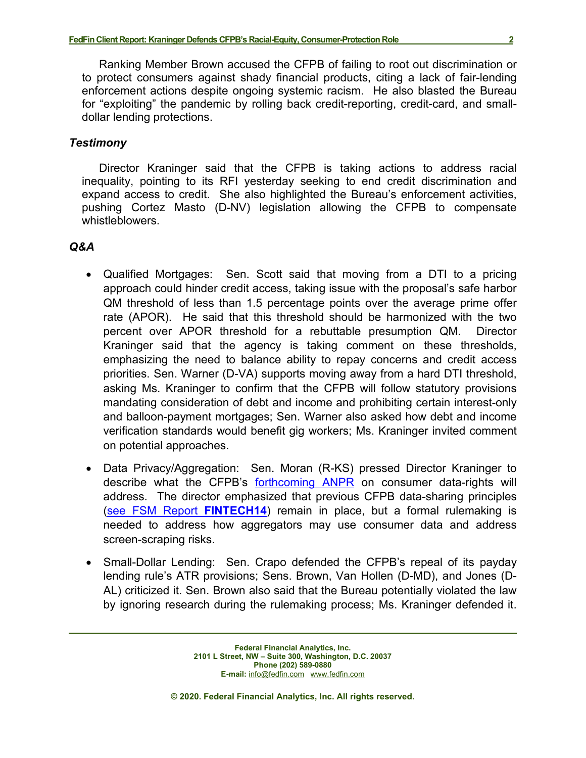Ranking Member Brown accused the CFPB of failing to root out discrimination or to protect consumers against shady financial products, citing a lack of fair-lending enforcement actions despite ongoing systemic racism. He also blasted the Bureau for "exploiting" the pandemic by rolling back credit-reporting, credit-card, and smalldollar lending protections.

### *Testimony*

Director Kraninger said that the CFPB is taking actions to address racial inequality, pointing to its RFI yesterday seeking to end credit discrimination and expand access to credit. She also highlighted the Bureau's enforcement activities, pushing Cortez Masto (D-NV) legislation allowing the CFPB to compensate whistleblowers.

### *Q&A*

- Qualified Mortgages: Sen. Scott said that moving from a DTI to a pricing approach could hinder credit access, taking issue with the proposal's safe harbor QM threshold of less than 1.5 percentage points over the average prime offer rate (APOR). He said that this threshold should be harmonized with the two percent over APOR threshold for a rebuttable presumption QM. Director Kraninger said that the agency is taking comment on these thresholds, emphasizing the need to balance ability to repay concerns and credit access priorities. Sen. Warner (D-VA) supports moving away from a hard DTI threshold, asking Ms. Kraninger to confirm that the CFPB will follow statutory provisions mandating consideration of debt and income and prohibiting certain interest-only and balloon-payment mortgages; Sen. Warner also asked how debt and income verification standards would benefit gig workers; Ms. Kraninger invited comment on potential approaches.
- Data Privacy/Aggregation: Sen. Moran (R-KS) pressed Director Kraninger to describe what the CFPB's [forthcoming](https://fedfin.com/wp-content/uploads/2020/07/Daily072720.pdf) ANPR on consumer data-rights will address. The director emphasized that previous CFPB data-sharing principles [\(see FSM Report](https://fedfin.com/wp-content/uploads/2017/10/fintech14.pdf) **FINTECH14**) remain in place, but a formal rulemaking is needed to address how aggregators may use consumer data and address screen-scraping risks.
- Small-Dollar Lending: Sen. Crapo defended the CFPB's repeal of its payday lending rule's ATR provisions; Sens. Brown, Van Hollen (D-MD), and Jones (D-AL) criticized it. Sen. Brown also said that the Bureau potentially violated the law by ignoring research during the rulemaking process; Ms. Kraninger defended it.